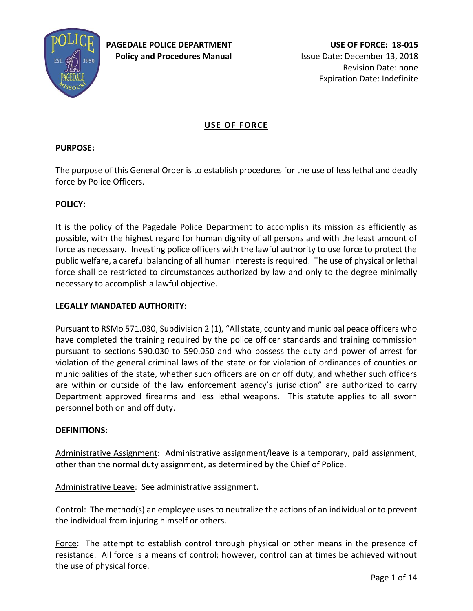

# **USE OF FORCE**

# **PURPOSE:**

The purpose of this General Order is to establish procedures for the use of less lethal and deadly force by Police Officers.

# **POLICY:**

It is the policy of the Pagedale Police Department to accomplish its mission as efficiently as possible, with the highest regard for human dignity of all persons and with the least amount of force as necessary. Investing police officers with the lawful authority to use force to protect the public welfare, a careful balancing of all human interests is required. The use of physical or lethal force shall be restricted to circumstances authorized by law and only to the degree minimally necessary to accomplish a lawful objective.

### **LEGALLY MANDATED AUTHORITY:**

Pursuant to RSMo 571.030, Subdivision 2 (1), "All state, county and municipal peace officers who have completed the training required by the police officer standards and training commission pursuant to sections 590.030 to 590.050 and who possess the duty and power of arrest for violation of the general criminal laws of the state or for violation of ordinances of counties or municipalities of the state, whether such officers are on or off duty, and whether such officers are within or outside of the law enforcement agency's jurisdiction" are authorized to carry Department approved firearms and less lethal weapons. This statute applies to all sworn personnel both on and off duty.

#### **DEFINITIONS:**

Administrative Assignment: Administrative assignment/leave is a temporary, paid assignment, other than the normal duty assignment, as determined by the Chief of Police.

Administrative Leave: See administrative assignment.

Control: The method(s) an employee uses to neutralize the actions of an individual or to prevent the individual from injuring himself or others.

Force: The attempt to establish control through physical or other means in the presence of resistance. All force is a means of control; however, control can at times be achieved without the use of physical force.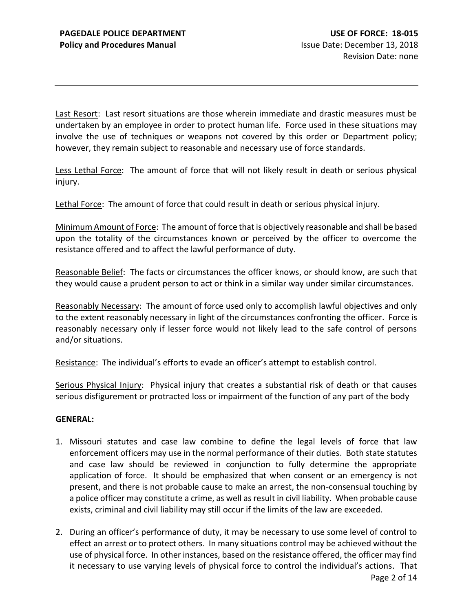Last Resort: Last resort situations are those wherein immediate and drastic measures must be undertaken by an employee in order to protect human life. Force used in these situations may involve the use of techniques or weapons not covered by this order or Department policy; however, they remain subject to reasonable and necessary use of force standards.

Less Lethal Force: The amount of force that will not likely result in death or serious physical injury.

Lethal Force: The amount of force that could result in death or serious physical injury.

Minimum Amount of Force: The amount of force that is objectively reasonable and shall be based upon the totality of the circumstances known or perceived by the officer to overcome the resistance offered and to affect the lawful performance of duty.

Reasonable Belief: The facts or circumstances the officer knows, or should know, are such that they would cause a prudent person to act or think in a similar way under similar circumstances.

Reasonably Necessary: The amount of force used only to accomplish lawful objectives and only to the extent reasonably necessary in light of the circumstances confronting the officer. Force is reasonably necessary only if lesser force would not likely lead to the safe control of persons and/or situations.

Resistance: The individual's efforts to evade an officer's attempt to establish control.

Serious Physical Injury: Physical injury that creates a substantial risk of death or that causes serious disfigurement or protracted loss or impairment of the function of any part of the body

#### **GENERAL:**

- 1. Missouri statutes and case law combine to define the legal levels of force that law enforcement officers may use in the normal performance of their duties. Both state statutes and case law should be reviewed in conjunction to fully determine the appropriate application of force. It should be emphasized that when consent or an emergency is not present, and there is not probable cause to make an arrest, the non-consensual touching by a police officer may constitute a crime, as well as result in civil liability. When probable cause exists, criminal and civil liability may still occur if the limits of the law are exceeded.
- 2. During an officer's performance of duty, it may be necessary to use some level of control to effect an arrest or to protect others. In many situations control may be achieved without the use of physical force. In other instances, based on the resistance offered, the officer may find it necessary to use varying levels of physical force to control the individual's actions. That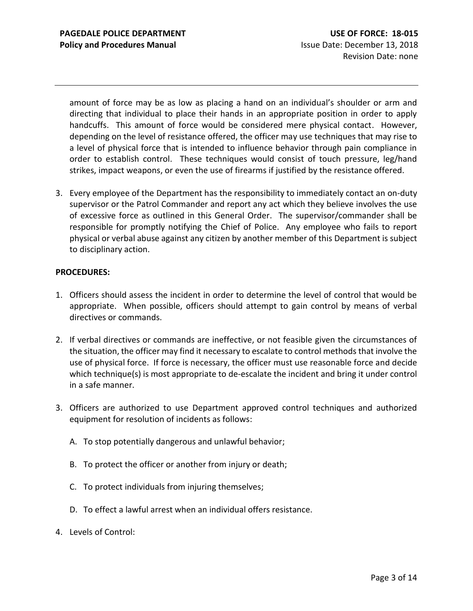amount of force may be as low as placing a hand on an individual's shoulder or arm and directing that individual to place their hands in an appropriate position in order to apply handcuffs. This amount of force would be considered mere physical contact. However, depending on the level of resistance offered, the officer may use techniques that may rise to a level of physical force that is intended to influence behavior through pain compliance in order to establish control. These techniques would consist of touch pressure, leg/hand strikes, impact weapons, or even the use of firearms if justified by the resistance offered.

3. Every employee of the Department has the responsibility to immediately contact an on-duty supervisor or the Patrol Commander and report any act which they believe involves the use of excessive force as outlined in this General Order. The supervisor/commander shall be responsible for promptly notifying the Chief of Police. Any employee who fails to report physical or verbal abuse against any citizen by another member of this Department is subject to disciplinary action.

#### **PROCEDURES:**

- 1. Officers should assess the incident in order to determine the level of control that would be appropriate. When possible, officers should attempt to gain control by means of verbal directives or commands.
- 2. If verbal directives or commands are ineffective, or not feasible given the circumstances of the situation, the officer may find it necessary to escalate to control methods that involve the use of physical force. If force is necessary, the officer must use reasonable force and decide which technique(s) is most appropriate to de-escalate the incident and bring it under control in a safe manner.
- 3. Officers are authorized to use Department approved control techniques and authorized equipment for resolution of incidents as follows:
	- A. To stop potentially dangerous and unlawful behavior;
	- B. To protect the officer or another from injury or death;
	- C. To protect individuals from injuring themselves;
	- D. To effect a lawful arrest when an individual offers resistance.
- 4. Levels of Control: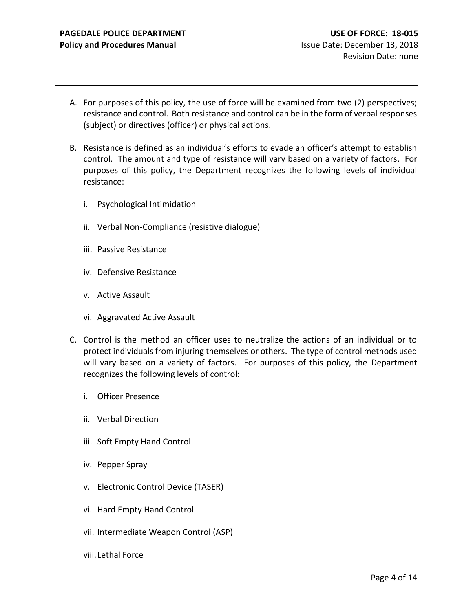- A. For purposes of this policy, the use of force will be examined from two (2) perspectives; resistance and control. Both resistance and control can be in the form of verbal responses (subject) or directives (officer) or physical actions.
- B. Resistance is defined as an individual's efforts to evade an officer's attempt to establish control. The amount and type of resistance will vary based on a variety of factors. For purposes of this policy, the Department recognizes the following levels of individual resistance:
	- i. Psychological Intimidation
	- ii. Verbal Non-Compliance (resistive dialogue)
	- iii. Passive Resistance
	- iv. Defensive Resistance
	- v. Active Assault
	- vi. Aggravated Active Assault
- C. Control is the method an officer uses to neutralize the actions of an individual or to protect individuals from injuring themselves or others. The type of control methods used will vary based on a variety of factors. For purposes of this policy, the Department recognizes the following levels of control:
	- i. Officer Presence
	- ii. Verbal Direction
	- iii. Soft Empty Hand Control
	- iv. Pepper Spray
	- v. Electronic Control Device (TASER)
	- vi. Hard Empty Hand Control
	- vii. Intermediate Weapon Control (ASP)
	- viii. Lethal Force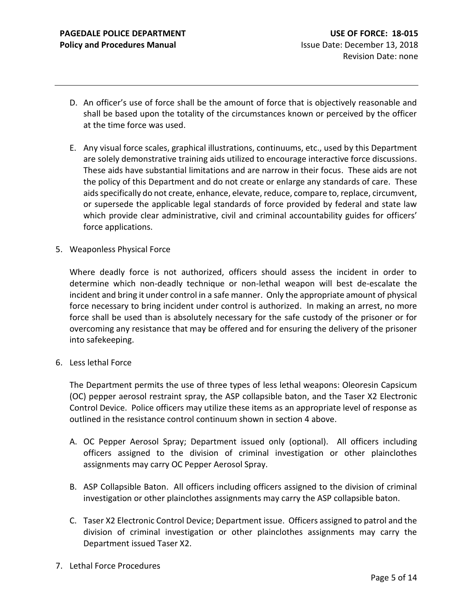- D. An officer's use of force shall be the amount of force that is objectively reasonable and shall be based upon the totality of the circumstances known or perceived by the officer at the time force was used.
- E. Any visual force scales, graphical illustrations, continuums, etc., used by this Department are solely demonstrative training aids utilized to encourage interactive force discussions. These aids have substantial limitations and are narrow in their focus. These aids are not the policy of this Department and do not create or enlarge any standards of care. These aids specifically do not create, enhance, elevate, reduce, compare to, replace, circumvent, or supersede the applicable legal standards of force provided by federal and state law which provide clear administrative, civil and criminal accountability guides for officers' force applications.
- 5. Weaponless Physical Force

Where deadly force is not authorized, officers should assess the incident in order to determine which non-deadly technique or non-lethal weapon will best de-escalate the incident and bring it under control in a safe manner. Only the appropriate amount of physical force necessary to bring incident under control is authorized. In making an arrest, no more force shall be used than is absolutely necessary for the safe custody of the prisoner or for overcoming any resistance that may be offered and for ensuring the delivery of the prisoner into safekeeping.

6. Less lethal Force

The Department permits the use of three types of less lethal weapons: Oleoresin Capsicum (OC) pepper aerosol restraint spray, the ASP collapsible baton, and the Taser X2 Electronic Control Device. Police officers may utilize these items as an appropriate level of response as outlined in the resistance control continuum shown in section 4 above.

- A. OC Pepper Aerosol Spray; Department issued only (optional). All officers including officers assigned to the division of criminal investigation or other plainclothes assignments may carry OC Pepper Aerosol Spray.
- B. ASP Collapsible Baton. All officers including officers assigned to the division of criminal investigation or other plainclothes assignments may carry the ASP collapsible baton.
- C. Taser X2 Electronic Control Device; Department issue. Officers assigned to patrol and the division of criminal investigation or other plainclothes assignments may carry the Department issued Taser X2.
- 7. Lethal Force Procedures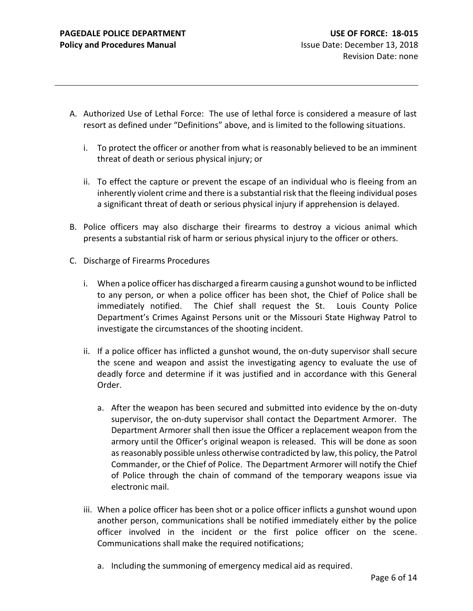- A. Authorized Use of Lethal Force: The use of lethal force is considered a measure of last resort as defined under "Definitions" above, and is limited to the following situations.
	- i. To protect the officer or another from what is reasonably believed to be an imminent threat of death or serious physical injury; or
	- ii. To effect the capture or prevent the escape of an individual who is fleeing from an inherently violent crime and there is a substantial risk that the fleeing individual poses a significant threat of death or serious physical injury if apprehension is delayed.
- B. Police officers may also discharge their firearms to destroy a vicious animal which presents a substantial risk of harm or serious physical injury to the officer or others.
- C. Discharge of Firearms Procedures
	- i. When a police officer has discharged a firearm causing a gunshot wound to be inflicted to any person, or when a police officer has been shot, the Chief of Police shall be immediately notified. The Chief shall request the St. Louis County Police Department's Crimes Against Persons unit or the Missouri State Highway Patrol to investigate the circumstances of the shooting incident.
	- ii. If a police officer has inflicted a gunshot wound, the on-duty supervisor shall secure the scene and weapon and assist the investigating agency to evaluate the use of deadly force and determine if it was justified and in accordance with this General Order.
		- a. After the weapon has been secured and submitted into evidence by the on-duty supervisor, the on-duty supervisor shall contact the Department Armorer. The Department Armorer shall then issue the Officer a replacement weapon from the armory until the Officer's original weapon is released. This will be done as soon as reasonably possible unless otherwise contradicted by law, this policy, the Patrol Commander, or the Chief of Police. The Department Armorer will notify the Chief of Police through the chain of command of the temporary weapons issue via electronic mail.
	- iii. When a police officer has been shot or a police officer inflicts a gunshot wound upon another person, communications shall be notified immediately either by the police officer involved in the incident or the first police officer on the scene. Communications shall make the required notifications;
		- a. Including the summoning of emergency medical aid as required.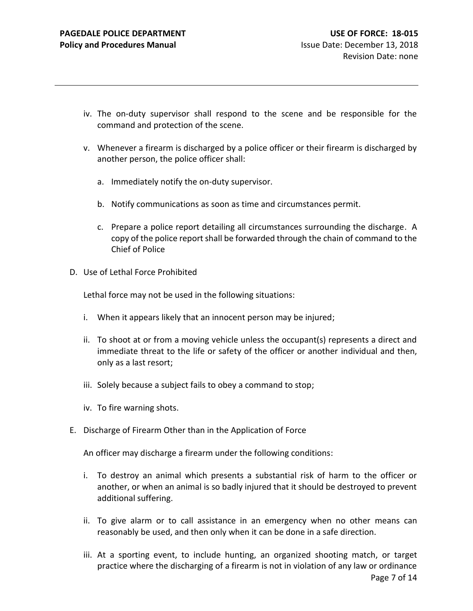- iv. The on-duty supervisor shall respond to the scene and be responsible for the command and protection of the scene.
- v. Whenever a firearm is discharged by a police officer or their firearm is discharged by another person, the police officer shall:
	- a. Immediately notify the on-duty supervisor.
	- b. Notify communications as soon as time and circumstances permit.
	- c. Prepare a police report detailing all circumstances surrounding the discharge. A copy of the police report shall be forwarded through the chain of command to the Chief of Police
- D. Use of Lethal Force Prohibited

Lethal force may not be used in the following situations:

- i. When it appears likely that an innocent person may be injured;
- ii. To shoot at or from a moving vehicle unless the occupant(s) represents a direct and immediate threat to the life or safety of the officer or another individual and then, only as a last resort;
- iii. Solely because a subject fails to obey a command to stop;
- iv. To fire warning shots.
- E. Discharge of Firearm Other than in the Application of Force

An officer may discharge a firearm under the following conditions:

- i. To destroy an animal which presents a substantial risk of harm to the officer or another, or when an animal is so badly injured that it should be destroyed to prevent additional suffering.
- ii. To give alarm or to call assistance in an emergency when no other means can reasonably be used, and then only when it can be done in a safe direction.
- iii. At a sporting event, to include hunting, an organized shooting match, or target practice where the discharging of a firearm is not in violation of any law or ordinance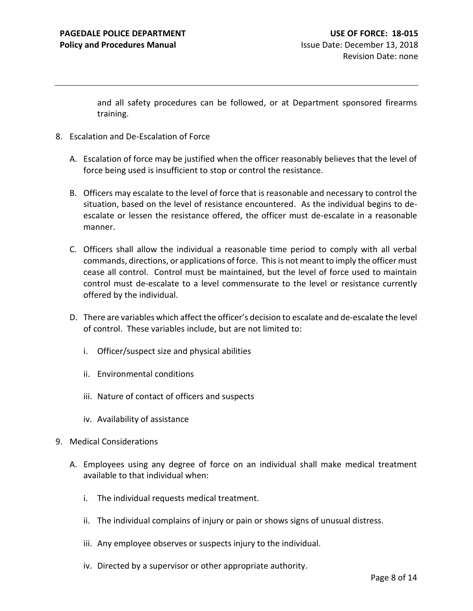and all safety procedures can be followed, or at Department sponsored firearms training.

- 8. Escalation and De-Escalation of Force
	- A. Escalation of force may be justified when the officer reasonably believes that the level of force being used is insufficient to stop or control the resistance.
	- B. Officers may escalate to the level of force that is reasonable and necessary to control the situation, based on the level of resistance encountered. As the individual begins to deescalate or lessen the resistance offered, the officer must de-escalate in a reasonable manner.
	- C. Officers shall allow the individual a reasonable time period to comply with all verbal commands, directions, or applications of force. This is not meant to imply the officer must cease all control. Control must be maintained, but the level of force used to maintain control must de-escalate to a level commensurate to the level or resistance currently offered by the individual.
	- D. There are variables which affect the officer's decision to escalate and de-escalate the level of control. These variables include, but are not limited to:
		- i. Officer/suspect size and physical abilities
		- ii. Environmental conditions
		- iii. Nature of contact of officers and suspects
		- iv. Availability of assistance
- 9. Medical Considerations
	- A. Employees using any degree of force on an individual shall make medical treatment available to that individual when:
		- i. The individual requests medical treatment.
		- ii. The individual complains of injury or pain or shows signs of unusual distress.
		- iii. Any employee observes or suspects injury to the individual.
		- iv. Directed by a supervisor or other appropriate authority.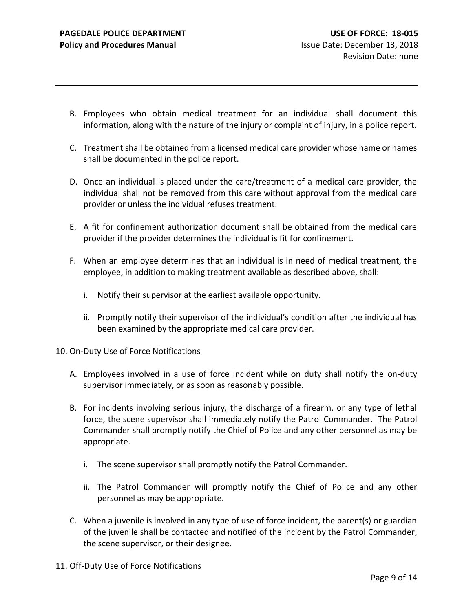- B. Employees who obtain medical treatment for an individual shall document this information, along with the nature of the injury or complaint of injury, in a police report.
- C. Treatment shall be obtained from a licensed medical care provider whose name or names shall be documented in the police report.
- D. Once an individual is placed under the care/treatment of a medical care provider, the individual shall not be removed from this care without approval from the medical care provider or unless the individual refuses treatment.
- E. A fit for confinement authorization document shall be obtained from the medical care provider if the provider determines the individual is fit for confinement.
- F. When an employee determines that an individual is in need of medical treatment, the employee, in addition to making treatment available as described above, shall:
	- i. Notify their supervisor at the earliest available opportunity.
	- ii. Promptly notify their supervisor of the individual's condition after the individual has been examined by the appropriate medical care provider.
- 10. On-Duty Use of Force Notifications
	- A. Employees involved in a use of force incident while on duty shall notify the on-duty supervisor immediately, or as soon as reasonably possible.
	- B. For incidents involving serious injury, the discharge of a firearm, or any type of lethal force, the scene supervisor shall immediately notify the Patrol Commander. The Patrol Commander shall promptly notify the Chief of Police and any other personnel as may be appropriate.
		- i. The scene supervisor shall promptly notify the Patrol Commander.
		- ii. The Patrol Commander will promptly notify the Chief of Police and any other personnel as may be appropriate.
	- C. When a juvenile is involved in any type of use of force incident, the parent(s) or guardian of the juvenile shall be contacted and notified of the incident by the Patrol Commander, the scene supervisor, or their designee.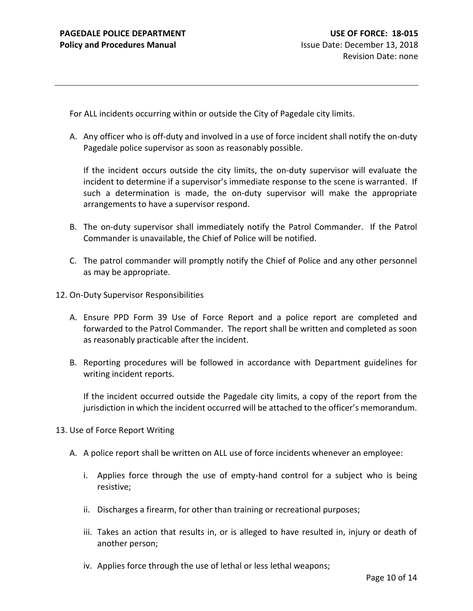For ALL incidents occurring within or outside the City of Pagedale city limits.

A. Any officer who is off-duty and involved in a use of force incident shall notify the on-duty Pagedale police supervisor as soon as reasonably possible.

If the incident occurs outside the city limits, the on-duty supervisor will evaluate the incident to determine if a supervisor's immediate response to the scene is warranted. If such a determination is made, the on-duty supervisor will make the appropriate arrangements to have a supervisor respond.

- B. The on-duty supervisor shall immediately notify the Patrol Commander. If the Patrol Commander is unavailable, the Chief of Police will be notified.
- C. The patrol commander will promptly notify the Chief of Police and any other personnel as may be appropriate.
- 12. On-Duty Supervisor Responsibilities
	- A. Ensure PPD Form 39 Use of Force Report and a police report are completed and forwarded to the Patrol Commander. The report shall be written and completed as soon as reasonably practicable after the incident.
	- B. Reporting procedures will be followed in accordance with Department guidelines for writing incident reports.

If the incident occurred outside the Pagedale city limits, a copy of the report from the jurisdiction in which the incident occurred will be attached to the officer's memorandum.

- 13. Use of Force Report Writing
	- A. A police report shall be written on ALL use of force incidents whenever an employee:
		- i. Applies force through the use of empty-hand control for a subject who is being resistive;
		- ii. Discharges a firearm, for other than training or recreational purposes;
		- iii. Takes an action that results in, or is alleged to have resulted in, injury or death of another person;
		- iv. Applies force through the use of lethal or less lethal weapons;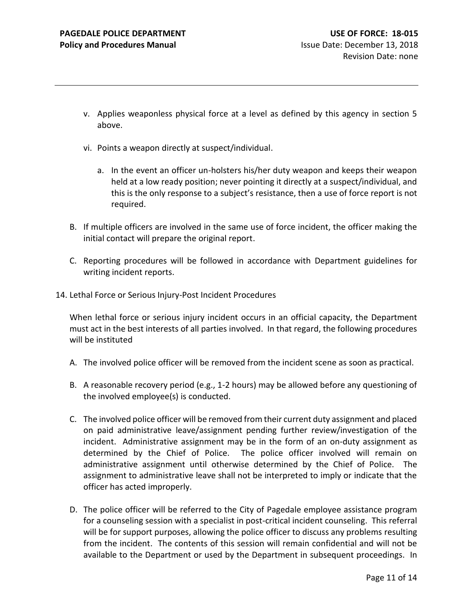- v. Applies weaponless physical force at a level as defined by this agency in section 5 above.
- vi. Points a weapon directly at suspect/individual.
	- a. In the event an officer un-holsters his/her duty weapon and keeps their weapon held at a low ready position; never pointing it directly at a suspect/individual, and this is the only response to a subject's resistance, then a use of force report is not required.
- B. If multiple officers are involved in the same use of force incident, the officer making the initial contact will prepare the original report.
- C. Reporting procedures will be followed in accordance with Department guidelines for writing incident reports.
- 14. Lethal Force or Serious Injury-Post Incident Procedures

When lethal force or serious injury incident occurs in an official capacity, the Department must act in the best interests of all parties involved. In that regard, the following procedures will be instituted

- A. The involved police officer will be removed from the incident scene as soon as practical.
- B. A reasonable recovery period (e.g., 1-2 hours) may be allowed before any questioning of the involved employee(s) is conducted.
- C. The involved police officer will be removed from their current duty assignment and placed on paid administrative leave/assignment pending further review/investigation of the incident. Administrative assignment may be in the form of an on-duty assignment as determined by the Chief of Police. The police officer involved will remain on administrative assignment until otherwise determined by the Chief of Police. The assignment to administrative leave shall not be interpreted to imply or indicate that the officer has acted improperly.
- D. The police officer will be referred to the City of Pagedale employee assistance program for a counseling session with a specialist in post-critical incident counseling. This referral will be for support purposes, allowing the police officer to discuss any problems resulting from the incident. The contents of this session will remain confidential and will not be available to the Department or used by the Department in subsequent proceedings. In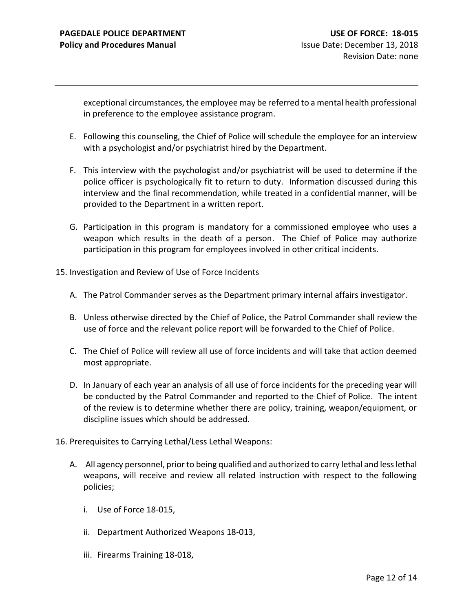exceptional circumstances, the employee may be referred to a mental health professional in preference to the employee assistance program.

- E. Following this counseling, the Chief of Police will schedule the employee for an interview with a psychologist and/or psychiatrist hired by the Department.
- F. This interview with the psychologist and/or psychiatrist will be used to determine if the police officer is psychologically fit to return to duty. Information discussed during this interview and the final recommendation, while treated in a confidential manner, will be provided to the Department in a written report.
- G. Participation in this program is mandatory for a commissioned employee who uses a weapon which results in the death of a person. The Chief of Police may authorize participation in this program for employees involved in other critical incidents.
- 15. Investigation and Review of Use of Force Incidents
	- A. The Patrol Commander serves as the Department primary internal affairs investigator.
	- B. Unless otherwise directed by the Chief of Police, the Patrol Commander shall review the use of force and the relevant police report will be forwarded to the Chief of Police.
	- C. The Chief of Police will review all use of force incidents and will take that action deemed most appropriate.
	- D. In January of each year an analysis of all use of force incidents for the preceding year will be conducted by the Patrol Commander and reported to the Chief of Police. The intent of the review is to determine whether there are policy, training, weapon/equipment, or discipline issues which should be addressed.
- 16. Prerequisites to Carrying Lethal/Less Lethal Weapons:
	- A. All agency personnel, prior to being qualified and authorized to carry lethal and less lethal weapons, will receive and review all related instruction with respect to the following policies;
		- i. Use of Force 18-015,
		- ii. Department Authorized Weapons 18-013,
		- iii. Firearms Training 18-018,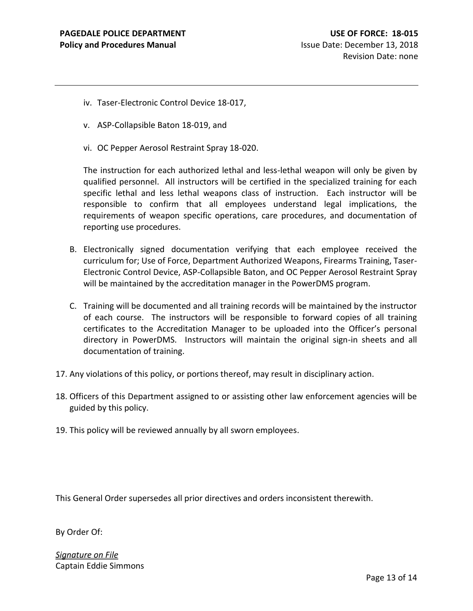- iv. Taser-Electronic Control Device 18-017,
- v. ASP-Collapsible Baton 18-019, and
- vi. OC Pepper Aerosol Restraint Spray 18-020.

The instruction for each authorized lethal and less-lethal weapon will only be given by qualified personnel. All instructors will be certified in the specialized training for each specific lethal and less lethal weapons class of instruction. Each instructor will be responsible to confirm that all employees understand legal implications, the requirements of weapon specific operations, care procedures, and documentation of reporting use procedures.

- B. Electronically signed documentation verifying that each employee received the curriculum for; Use of Force, Department Authorized Weapons, Firearms Training, Taser-Electronic Control Device, ASP-Collapsible Baton, and OC Pepper Aerosol Restraint Spray will be maintained by the accreditation manager in the PowerDMS program.
- C. Training will be documented and all training records will be maintained by the instructor of each course. The instructors will be responsible to forward copies of all training certificates to the Accreditation Manager to be uploaded into the Officer's personal directory in PowerDMS. Instructors will maintain the original sign-in sheets and all documentation of training.
- 17. Any violations of this policy, or portions thereof, may result in disciplinary action.
- 18. Officers of this Department assigned to or assisting other law enforcement agencies will be guided by this policy.
- 19. This policy will be reviewed annually by all sworn employees.

This General Order supersedes all prior directives and orders inconsistent therewith.

By Order Of:

*Signature on File* Captain Eddie Simmons